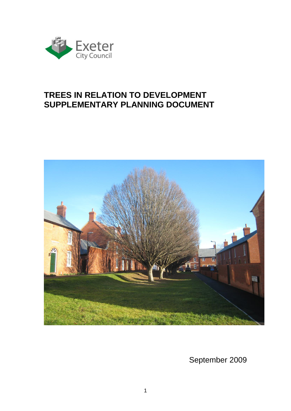

# **TREES IN RELATION TO DEVELOPMENT SUPPLEMENTARY PLANNING DOCUMENT**



September 2009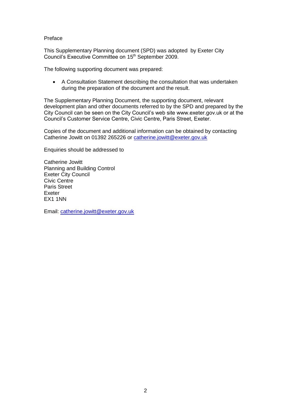<span id="page-1-0"></span>Preface

This Supplementary Planning document (SPD) was adopted by Exeter City Council's Executive Committee on 15<sup>th</sup> September 2009.

The following supporting document was prepared:

 A Consultation Statement describing the consultation that was undertaken during the preparation of the document and the result.

The Supplementary Planning Document, the supporting document, relevant development plan and other documents referred to by the SPD and prepared by the City Council can be seen on the City Council's web site www.exeter.gov.uk or at the Council's Customer Service Centre, Civic Centre, Paris Street, Exeter.

Copies of the document and additional information can be obtained by contacting Catherine Jowitt on 01392 265226 or [catherine.jowitt@exeter.gov.uk](mailto:catherine.jowitt@exeter.gov.uk)

Enquiries should be addressed to

Catherine Jowitt Planning and Building Control Exeter City Council Civic Centre Paris Street Exeter EX1 1NN

Email: [catherine.jowitt@exeter.gov.uk](mailto:catherine.jowitt@exeter.gov.uk)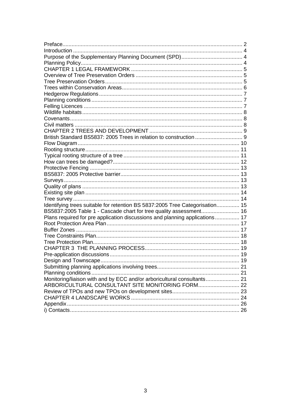| British Standard BS5837: 2005 Trees in relation to construction  9           |  |
|------------------------------------------------------------------------------|--|
|                                                                              |  |
|                                                                              |  |
|                                                                              |  |
|                                                                              |  |
|                                                                              |  |
|                                                                              |  |
|                                                                              |  |
|                                                                              |  |
|                                                                              |  |
|                                                                              |  |
|                                                                              |  |
| Identifying trees suitable for retention BS 5837:2005 Tree Categorisation 15 |  |
| BS5837:2005 Table 1 - Cascade chart for tree quality assessment 16           |  |
| Plans required for pre application discussions and planning applications 17  |  |
|                                                                              |  |
|                                                                              |  |
|                                                                              |  |
|                                                                              |  |
|                                                                              |  |
|                                                                              |  |
|                                                                              |  |
|                                                                              |  |
|                                                                              |  |
|                                                                              |  |
| ARBORICULTURAL CONSULTANT SITE MONITORING FORM 22                            |  |
|                                                                              |  |
|                                                                              |  |
|                                                                              |  |
|                                                                              |  |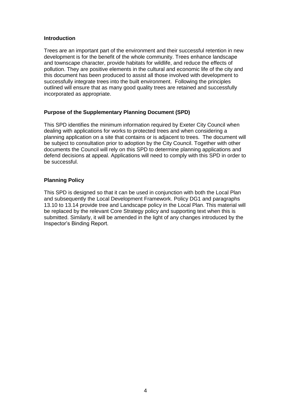#### <span id="page-3-0"></span>**Introduction**

Trees are an important part of the environment and their successful retention in new development is for the benefit of the whole community. Trees enhance landscape and townscape character, provide habitats for wildlife, and reduce the effects of pollution. They are positive elements in the cultural and economic life of the city and this document has been produced to assist all those involved with development to successfully integrate trees into the built environment. Following the principles outlined will ensure that as many good quality trees are retained and successfully incorporated as appropriate.

#### <span id="page-3-1"></span>**Purpose of the Supplementary Planning Document (SPD)**

This SPD identifies the minimum information required by Exeter City Council when dealing with applications for works to protected trees and when considering a planning application on a site that contains or is adjacent to trees. The document will be subject to consultation prior to adoption by the City Council. Together with other documents the Council will rely on this SPD to determine planning applications and defend decisions at appeal. Applications will need to comply with this SPD in order to be successful.

# <span id="page-3-2"></span>**Planning Policy**

This SPD is designed so that it can be used in conjunction with both the Local Plan and subsequently the Local Development Framework. Policy DG1 and paragraphs 13.10 to 13.14 provide tree and Landscape policy in the Local Plan. This material will be replaced by the relevant Core Strategy policy and supporting text when this is submitted. Similarly, it will be amended in the light of any changes introduced by the Inspector's Binding Report.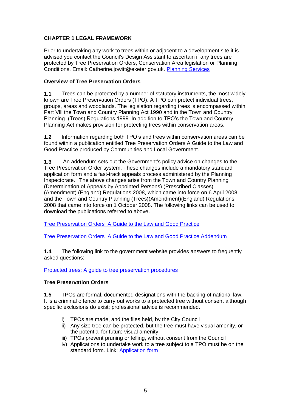# <span id="page-4-0"></span>**CHAPTER 1 LEGAL FRAMEWORK**

Prior to undertaking any work to trees within or adjacent to a development site it is advised you contact the Council's Design Assistant to ascertain if any trees are protected by Tree Preservation Orders, Conservation Area legislation or Planning Conditions. Email: Catherine.jowitt@exeter.gov.uk. [Planning Services](mailto:planning@exeter.gov.uk?subject=Trees%20SPD)

#### <span id="page-4-1"></span>**Overview of Tree Preservation Orders**

**1.1** Trees can be protected by a number of statutory instruments, the most widely known are Tree Preservation Orders (TPO). A TPO can protect individual trees, groups, areas and woodlands. The legislation regarding trees is encompassed within Part Vlll the Town and Country Planning Act 1990 and in the Town and Country Planning (Trees) Regulations 1999. In addition to TPO's the Town and Country Planning Act makes provision for protecting trees within conservation areas.

**1.2** Information regarding both TPO's and trees within conservation areas can be found within a publication entitled Tree Preservation Orders A Guide to the Law and Good Practice produced by Communities and Local Government.

**1.3** An addendum sets out the Government's policy advice on changes to the Tree Preservation Order system. These changes include a mandatory standard application form and a fast-track appeals process administered by the Planning Inspectorate. The above changes arise from the Town and Country Planning (Determination of Appeals by Appointed Persons) (Prescribed Classes) (Amendment) (England) Regulations 2008, which came into force on 6 April 2008, and the Town and Country Planning (Trees)(Amendment)(England) Regulations 2008 that came into force on 1 October 2008. The following links can be used to download the publications referred to above.

[Tree Preservation Orders A Guide to the Law](http://www.communities.gov.uk/documents/planningandbuilding/pdf/tposguide.pdf) and Good Practice

[Tree Preservation Orders A Guide to the Law and Good Practice Addendum](http://www.communities.gov.uk/documents/planningandbuilding/pdf/tposguideaddendum.pdf)

**1.4** The following link to the government website provides answers to frequently asked questions:

[Protected trees: A guide to tree preservation procedures](http://www.communities.gov.uk/documents/planningandbuilding/pdf/protectedtreesguide.pdf)

#### <span id="page-4-2"></span>**Tree Preservation Orders**

**1.5** TPOs are formal, documented designations with the backing of national law. It is a criminal offence to carry out works to a protected tree without consent although specific exclusions do exist; professional advice is recommended.

- i) TPOs are made, and the files held, by the City Council
- ii) Any size tree can be protected, but the tree must have visual amenity, or the potential for future visual amenity
- iii) TPOs prevent pruning or felling, without consent from the Council
- iv) Applications to undertake work to a tree subject to a TPO must be on the standard form. Link: [Application form](http://www.planningportal.gov.uk/uploads/appPDF/Y1110Form031_england_en.pdf)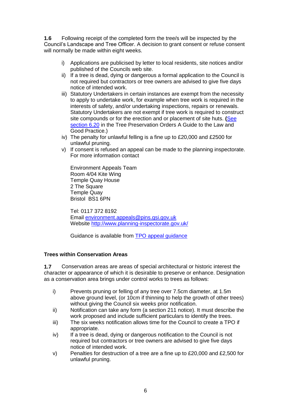**1.6** Following receipt of the completed form the tree/s will be inspected by the Council's Landscape and Tree Officer. A decision to grant consent or refuse consent will normally be made within eight weeks.

- i) Applications are publicised by letter to local residents, site notices and/or published of the Councils web site.
- ii) If a tree is dead, dying or dangerous a formal application to the Council is not required but contractors or tree owners are advised to give five days notice of intended work.
- iii) Statutory Undertakers in certain instances are exempt from the necessity to apply to undertake work, for example when tree work is required in the interests of safety, and/or undertaking inspections, repairs or renewals. Statutory Undertakers are not exempt if tree work is required to construct site compounds or for the erection and or placement of site huts. **(**[See](http://www.communities.gov.uk/documents/planningandbuilding/doc/tposguide.doc#P619)  [section 6.20](http://www.communities.gov.uk/documents/planningandbuilding/doc/tposguide.doc#P619) in the Tree Preservation Orders A Guide to the Law and Good Practice.)
- iv) The penalty for unlawful felling is a fine up to £20,000 and £2500 for unlawful pruning.
- v) If consent is refused an appeal can be made to the planning inspectorate. For more information contact

Environment Appeals Team Room 4/04 Kite Wing Temple Quay House 2 The Square Temple Quay Bristol BS1 6PN

Tel: 0117 372 8192 Email [environment.appeals@pins.gsi.gov.uk](mailto:environment.appeals@pins.gsi.gov.uk) Website<http://www.planning-inspectorate.gov.uk/>

Guidance is available from [TPO appeal guidance](http://www.planning-inspectorate.gov.uk/pins/appeals/tree_preservation/documents/tpo_app_guidance_fast-track.pdf)

# <span id="page-5-0"></span>**Trees within Conservation Areas**

**1.7** Conservation areas are areas of special architectural or historic interest the character or appearance of which it is desirable to preserve or enhance. Designation as a conservation area brings under control works to trees as follows:

- i) Prevents pruning or felling of any tree over 7.5cm diameter, at 1.5m above ground level, (or 10cm if thinning to help the growth of other trees) without giving the Council six weeks prior notification.
- ii) Notification can take any form (a section 211 notice). It must describe the work proposed and include sufficient particulars to identify the trees.
- iii) The six weeks notification allows time for the Council to create a TPO if appropriate.
- iv) If a tree is dead, dying or dangerous notification to the Council is not required but contractors or tree owners are advised to give five days notice of intended work.
- v) Penalties for destruction of a tree are a fine up to £20,000 and  $£2,500$  for unlawful pruning.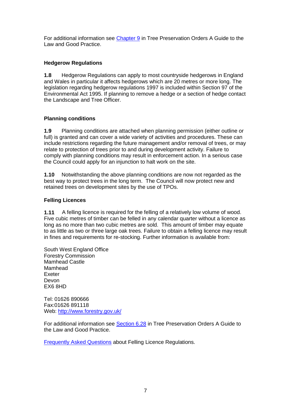For additional information see [Chapter 9](http://www.communities.gov.uk/documents/planningandbuilding/doc/tposguide.doc#C9) in Tree Preservation Orders A Guide to the Law and Good Practice.

# <span id="page-6-0"></span>**Hedgerow Regulations**

**1.8** Hedgerow Regulations can apply to most countryside hedgerows in England and Wales in particular it affects hedgerows which are 20 metres or more long. The legislation regarding hedgerow regulations 1997 is included within Section 97 of the Environmental Act 1995. If planning to remove a hedge or a section of hedge contact the Landscape and Tree Officer.

# <span id="page-6-1"></span>**Planning conditions**

**1.9** Planning conditions are attached when planning permission (either outline or full) is granted and can cover a wide variety of activities and procedures. These can include restrictions regarding the future management and/or removal of trees, or may relate to protection of trees prior to and during development activity. Failure to comply with planning conditions may result in enforcement action. In a serious case the Council could apply for an injunction to halt work on the site.

**1.10** Notwithstanding the above planning conditions are now not regarded as the best way to protect trees in the long term. The Council will now protect new and retained trees on development sites by the use of TPOs.

# <span id="page-6-2"></span>**Felling Licences**

**1.11** A felling licence is required for the felling of a relatively low volume of wood. Five cubic metres of timber can be felled in any calendar quarter without a licence as long as no more than two cubic metres are sold. This amount of timber may equate to as little as two or three large oak trees. Failure to obtain a felling licence may result in fines and requirements for re-stocking. Further information is available from:

South West England Office Forestry Commission Mamhead Castle Mamhead Exeter Devon EX6 8HD

Tel: 01626 890666 Fax:01626 891118 Web:<http://www.forestry.gov.uk/>

For additional information see [Section 6.28](http://www.communities.gov.uk/documents/planningandbuilding/doc/tposguide.doc#_Felling_licences) in Tree Preservation Orders A Guide to the Law and Good Practice.

[Frequently Asked Questions](http://www.forestry.gov.uk/forestry/infd-5ygfhr) about Felling Licence Regulations.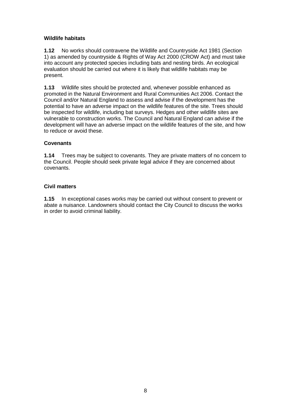# <span id="page-7-0"></span>**Wildlife habitats**

**1.12** No works should contravene the Wildlife and Countryside Act 1981 (Section 1) as amended by countryside & Rights of Way Act 2000 (CROW Act) and must take into account any protected species including bats and nesting birds. An ecological evaluation should be carried out where it is likely that wildlife habitats may be present.

**1.13** Wildlife sites should be protected and, whenever possible enhanced as promoted in the Natural Environment and Rural Communities Act 2006. Contact the Council and/or Natural England to assess and advise if the development has the potential to have an adverse impact on the wildlife features of the site. Trees should be inspected for wildlife, including bat surveys. Hedges and other wildlife sites are vulnerable to construction works. The Council and Natural England can advise if the development will have an adverse impact on the wildlife features of the site, and how to reduce or avoid these.

# <span id="page-7-1"></span>**Covenants**

**1.14** Trees may be subject to covenants. They are private matters of no concern to the Council. People should seek private legal advice if they are concerned about covenants.

#### <span id="page-7-2"></span>**Civil matters**

**1.15** In exceptional cases works may be carried out without consent to prevent or abate a nuisance. Landowners should contact the City Council to discuss the works in order to avoid criminal liability.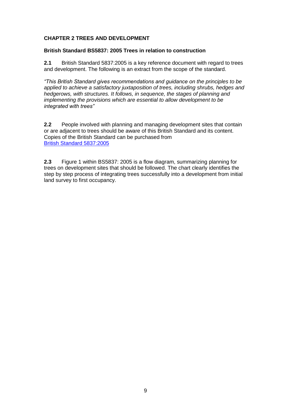# <span id="page-8-0"></span>**CHAPTER 2 TREES AND DEVELOPMENT**

#### <span id="page-8-1"></span>**British Standard BS5837: 2005 Trees in relation to construction**

**2.1** British Standard 5837:2005 is a key reference document with regard to trees and development. The following is an extract from the scope of the standard.

*"This British Standard gives recommendations and guidance on the principles to be applied to achieve a satisfactory juxtaposition of trees, including shrubs, hedges and hedgerows, with structures. It follows, in sequence, the stages of planning and implementing the provisions which are essential to allow development to be integrated with trees"*

**2.2** People involved with planning and managing development sites that contain or are adjacent to trees should be aware of this British Standard and its content. Copies of the British Standard can be purchased from [British Standard 5837:2005](http://www.bsi-global.com/en/Shop/Publication-Detail/?pid=000000000030139494)

**2.3** Figure 1 within BS5837: 2005 is a flow diagram, summarizing planning for trees on development sites that should be followed. The chart clearly identifies the step by step process of integrating trees successfully into a development from initial land survey to first occupancy.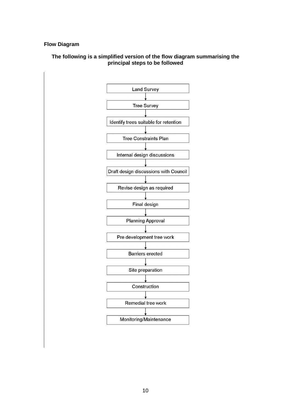#### <span id="page-9-0"></span>**Flow Diagram**

#### **The following is a simplified version of the flow diagram summarising the principal steps to be followed**

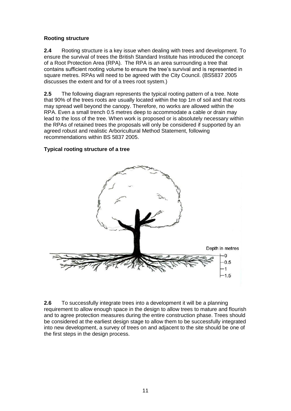#### <span id="page-10-0"></span>**Rooting structure**

**2.4** Rooting structure is a key issue when dealing with trees and development. To ensure the survival of trees the British Standard Institute has introduced the concept of a Root Protection Area (RPA). The RPA is an area surrounding a tree that contains sufficient rooting volume to ensure the tree's survival and is represented in square metres. RPAs will need to be agreed with the City Council. (BS5837 2005 discusses the extent and for of a trees root system.)

**2.5** The following diagram represents the typical rooting pattern of a tree. Note that 90% of the trees roots are usually located within the top 1m of soil and that roots may spread well beyond the canopy. Therefore, no works are allowed within the RPA. Even a small trench 0.5 metres deep to accommodate a cable or drain may lead to the loss of the tree. When work is proposed or is absolutely necessary within the RPAs of retained trees the proposals will only be considered if supported by an agreed robust and realistic Arboricultural Method Statement, following recommendations within BS 5837 2005.

# <span id="page-10-1"></span>**Typical rooting structure of a tree**



**2.6** To successfully integrate trees into a development it will be a planning requirement to allow enough space in the design to allow trees to mature and flourish and to agree protection measures during the entire construction phase. Trees should be considered at the earliest design stage to allow them to be successfully integrated into new development, a survey of trees on and adjacent to the site should be one of the first steps in the design process.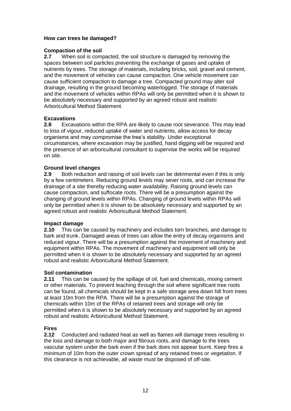## <span id="page-11-0"></span>**How can trees be damaged?**

#### **Compaction of the soil**

**2.7** When soil is compacted, the soil structure is damaged by removing the spaces between soil particles preventing the exchange of gases and uptake of nutrients by trees. The storage of materials, including bricks, soil, gravel and cement, and the movement of vehicles can cause compaction. One vehicle movement can cause sufficient compaction to damage a tree. Compacted ground may alter soil drainage, resulting in the ground becoming waterlogged. The storage of materials and the movement of vehicles within RPAs will only be permitted when it is shown to be absolutely necessary and supported by an agreed robust and realistic Arboricultural Method Statement.

#### **Excavations**

**2.8** Excavations within the RPA are likely to cause root severance. This may lead to loss of vigour, reduced uptake of water and nutrients, allow access for decay organisms and may compromise the tree's stability. Under exceptional circumstances, where excavation may be justified, hand digging will be required and the presence of an arboricultural consultant to supervise the works will be required on site.

#### **Ground level changes**

**2.9** Both reduction and raising of soil levels can be detrimental even if this is only by a few centimeters. Reducing ground levels may sever roots, and can increase the drainage of a site thereby reducing water availability. Raising ground levels can cause compaction, and suffocate roots. There will be a presumption against the changing of ground levels within RPAs. Changing of ground levels within RPAs will only be permitted when it is shown to be absolutely necessary and supported by an agreed robust and realistic Arboricultural Method Statement.

#### **Impact damage**

**2.10** This can be caused by machinery and includes torn branches, and damage to bark and trunk. Damaged areas of trees can allow the entry of decay organisms and reduced vigour. There will be a presumption against the movement of machinery and equipment within RPAs. The movement of machinery and equipment will only be permitted when it is shown to be absolutely necessary and supported by an agreed robust and realistic Arboricultural Method Statement.

#### **Soil contamination**

**2.11** This can be caused by the spillage of oil, fuel and chemicals, mixing cement or other materials. To prevent leaching through the soil where significant tree roots can be found, all chemicals should be kept in a safe storage area down hill from trees at least 10m from the RPA. There will be a presumption against the storage of chemicals within 10m of the RPAs of retained trees and storage will only be permitted when it is shown to be absolutely necessary and supported by an agreed robust and realistic Arboricultural Method Statement.

#### **Fires**

**2.12** Conducted and radiated heat as well as flames will damage trees resulting in the loss and damage to both major and fibrous roots, and damage to the trees vascular system under the bark even if the bark does not appear burnt. Keep fires a minimum of 10m from the outer crown spread of any retained trees or vegetation. If this clearance is not achievable, all waste must be disposed of off-site.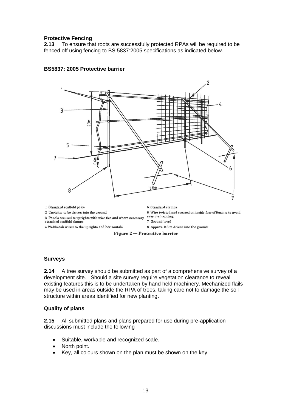#### <span id="page-12-0"></span>**Protective Fencing**

**2.13** To ensure that roots are successfully protected RPAs will be required to be fenced off using fencing to BS 5837:2005 specifications as indicated below.



#### <span id="page-12-1"></span>**BS5837: 2005 Protective barrier**

#### <span id="page-12-2"></span>**Surveys**

**2.14** A tree survey should be submitted as part of a comprehensive survey of a development site. Should a site survey require vegetation clearance to reveal existing features this is to be undertaken by hand held machinery. Mechanized flails may be used in areas outside the RPA of trees, taking care not to damage the soil structure within areas identified for new planting.

#### <span id="page-12-3"></span>**Quality of plans**

**2.15** All submitted plans and plans prepared for use during pre-application discussions must include the following

- Suitable, workable and recognized scale.
- North point.
- Key, all colours shown on the plan must be shown on the key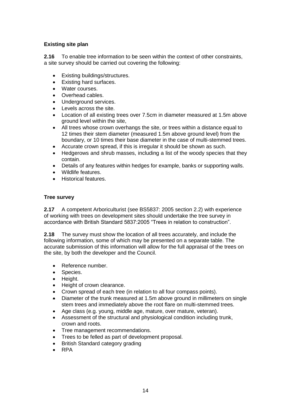# <span id="page-13-0"></span>**Existing site plan**

**2.16** To enable tree information to be seen within the context of other constraints, a site survey should be carried out covering the following:

- Existing buildings/structures.
- Existing hard surfaces.
- Water courses.
- Overhead cables.
- Underground services.
- Levels across the site.
- Location of all existing trees over 7.5cm in diameter measured at 1.5m above ground level within the site,
- All trees whose crown overhangs the site, or trees within a distance equal to 12 times their stem diameter (measured 1.5m above ground level) from the boundary, or 10 times their base diameter in the case of multi-stemmed trees.
- Accurate crown spread, if this is irregular it should be shown as such.
- Hedgerows and shrub masses, including a list of the woody species that they contain.
- Details of any features within hedges for example, banks or supporting walls.
- Wildlife features.
- Historical features.

# <span id="page-13-1"></span>**Tree survey**

**2.17** A competent Arboriculturist (see BS5837: 2005 section 2.2) with experience of working with trees on development sites should undertake the tree survey in accordance with British Standard 5837:2005 "Trees in relation to construction".

**2.18** The survey must show the location of all trees accurately, and include the following information, some of which may be presented on a separate table. The accurate submission of this information will allow for the full appraisal of the trees on the site, by both the developer and the Council.

- Reference number.
- Species.
- Height.
- Height of crown clearance.
- Crown spread of each tree (in relation to all four compass points).
- Diameter of the trunk measured at 1.5m above ground in millimeters on single stem trees and immediately above the root flare on multi-stemmed trees.
- Age class (e.g. young, middle age, mature, over mature, veteran).
- Assessment of the structural and physiological condition including trunk, crown and roots.
- Tree management recommendations.
- Trees to be felled as part of development proposal.
- British Standard category grading
- RPA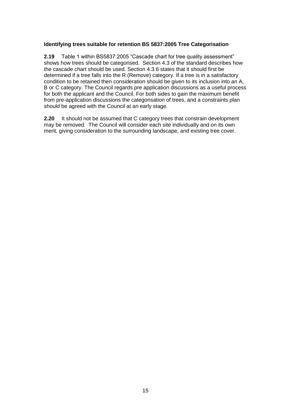# <span id="page-14-0"></span>**Identifying trees suitable for retention BS 5837:2005 Tree Categorisation**

**2.19** Table 1 within BS5837:2005 "Cascade chart for tree quality assessment" shows how trees should be categorised. Section 4.3 of the standard describes how the cascade chart should be used. Section 4.3.6 states that it should first be determined if a tree falls into the R (Remove) category. If a tree is in a satisfactory condition to be retained then consideration should be given to its inclusion into an A, B or C category. The Council regards pre application discussions as a useful process for both the applicant and the Council. For both sides to gain the maximum benefit from pre-application discussions the categorisation of trees, and a constraints plan should be agreed with the Council at an early stage.

**2.20** It should not be assumed that C category trees that constrain development may be removed. The Council will consider each site individually and on its own merit, giving consideration to the surrounding landscape, and existing tree cover.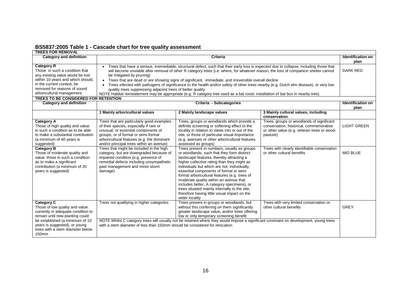|  | BS5837:2005 Table 1 - Cascade chart for tree quality assessment |  |
|--|-----------------------------------------------------------------|--|
|--|-----------------------------------------------------------------|--|

<span id="page-15-0"></span>

| <b>TREES FOR REMOVAL</b>                                                                                                                                                                                                                                         |                                                                                                                                                                                                                                                                                                                                                                                                                                                                                                                                                                                                                                                                                                                                                                                                              |                                                                                                                                                                                                                                                                                                                                                                                                                                                                                                                                            |                                                                                                                                                 |                                  |  |
|------------------------------------------------------------------------------------------------------------------------------------------------------------------------------------------------------------------------------------------------------------------|--------------------------------------------------------------------------------------------------------------------------------------------------------------------------------------------------------------------------------------------------------------------------------------------------------------------------------------------------------------------------------------------------------------------------------------------------------------------------------------------------------------------------------------------------------------------------------------------------------------------------------------------------------------------------------------------------------------------------------------------------------------------------------------------------------------|--------------------------------------------------------------------------------------------------------------------------------------------------------------------------------------------------------------------------------------------------------------------------------------------------------------------------------------------------------------------------------------------------------------------------------------------------------------------------------------------------------------------------------------------|-------------------------------------------------------------------------------------------------------------------------------------------------|----------------------------------|--|
| <b>Category and definition</b>                                                                                                                                                                                                                                   | <b>Criteria</b><br><b>Identification on</b>                                                                                                                                                                                                                                                                                                                                                                                                                                                                                                                                                                                                                                                                                                                                                                  |                                                                                                                                                                                                                                                                                                                                                                                                                                                                                                                                            |                                                                                                                                                 |                                  |  |
| <b>Category R</b><br>Those in such a condition that<br>any existing value would be lost<br>within 10 years and which should,<br>in the current context, be<br>removed for reasons of sound<br>arboricultural management.<br>TREES TO BE CONSIDERED FOR RETENTION | Trees that have a serious, irremediable, structural defect, such that their early loss is expected due to collapse, including those that<br>$\bullet$<br><b>DARK RED</b><br>will become unviable after removal of other R category trees (i.e. where, for whatever reason, the loss of companion shelter cannot<br>be mitigated by pruning)<br>Trees that are dead or are showing signs of significant, immediate, and irreversible overall decline<br>$\bullet$<br>Trees infected with pathogens of significance to the health and/or safety of other trees nearby (e.g. Dutch elm disease), or very low<br>quality trees suppressing adjacent trees of better quality<br>NOTE Habitat reinstatement may be appropriate (e.g. R category tree used as a bat roost: installation of bat box in nearby tree). |                                                                                                                                                                                                                                                                                                                                                                                                                                                                                                                                            |                                                                                                                                                 |                                  |  |
| <b>Category and definition</b><br>Criteria - Subcategories                                                                                                                                                                                                       |                                                                                                                                                                                                                                                                                                                                                                                                                                                                                                                                                                                                                                                                                                                                                                                                              |                                                                                                                                                                                                                                                                                                                                                                                                                                                                                                                                            |                                                                                                                                                 | <b>Identification on</b><br>plan |  |
|                                                                                                                                                                                                                                                                  | 1 Mainly arboricultural values                                                                                                                                                                                                                                                                                                                                                                                                                                                                                                                                                                                                                                                                                                                                                                               | 2 Mainly landscape values                                                                                                                                                                                                                                                                                                                                                                                                                                                                                                                  | 3 Mainly cultural values, including<br>conservation                                                                                             |                                  |  |
| Category A<br>Those of high quality and value:<br>in such a condition as to be able<br>to make a substantial contribution<br>(a minimum of 40 years is<br>suggested)                                                                                             | Trees that are particularly good examples<br>of their species, especially if rare or<br>unusual, or essential components of<br>groups, or of formal or semi-formal<br>arboricultural features (e.g. the dominant<br>and/or principal trees within an avenue)                                                                                                                                                                                                                                                                                                                                                                                                                                                                                                                                                 | Trees, groups or woodlands which provide a<br>definite screening or softening effect to the<br>locality in relation to views into or out of the<br>site, or those of particular visual importance<br>(e.g. avenues or other arboricultural features<br>assessed as groups)                                                                                                                                                                                                                                                                 | Trees, groups or woodlands of significant<br>conservation, historical, commemorative<br>or other value (e.g. veteran trees or wood-<br>pasture) | <b>LIGHT GREEN</b>               |  |
| <b>Category B</b><br>Those of moderate quality and<br>value: those in such a condition<br>as to make a significant<br>contribution (a minimum of 20<br>years is suggested)                                                                                       | Trees that might be included in the high<br>category, but are downgraded because of<br>impaired condition (e.g. presence of<br>remedial defects including unsympathetic<br>past management and minor storm<br>damage)                                                                                                                                                                                                                                                                                                                                                                                                                                                                                                                                                                                        | Trees present in numbers, usually as groups<br>or woodlands, such that they form distinct<br>landscape features, thereby attracting a<br>higher collective rating than they might as<br>individuals but which are not, individually,<br>essential components of formal or semi<br>formal arboricultural features (e.g. trees of<br>moderate quality within an avenue that<br>includes better, A category specimens), or<br>trees situated mainly internally to the site,<br>therefore having little visual impact on the<br>wider locality | Trees with clearly identifiable conservation<br>or other cultural benefits                                                                      | <b>MID BLUE</b>                  |  |
| <b>Category C</b><br>Those of low quality and value:<br>currently in adequate condition to<br>remain until new planting could<br>be established (a minimum of 10<br>years is suggested), or young<br>trees with a stem diameter below<br>150mm                   | Trees not qualifying in higher categories<br>with a stem diameter of less than 150mm should be considered for relocation                                                                                                                                                                                                                                                                                                                                                                                                                                                                                                                                                                                                                                                                                     | Trees present in groups or woodlands, but<br>without this conferring on them significantly<br>greater landscape value, and/or trees offering<br>low or only temporary screening benefit<br>NOTE Whilst C category trees will usually not be retained where they would impose a significant constraint on development, young trees                                                                                                                                                                                                          | Trees with very limited conservation or<br>other cultural benefits                                                                              | <b>GREY</b>                      |  |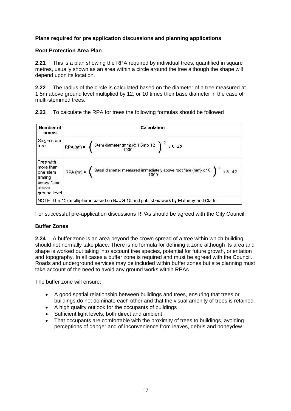# <span id="page-16-0"></span>**Plans required for pre application discussions and planning applications**

#### <span id="page-16-1"></span>**Root Protection Area Plan**

**2.21** This is a plan showing the RPA required by individual trees, quantified in square metres, usually shown as an area within a circle around the tree although the shape will depend upon its location.

**2.22** The radius of the circle is calculated based on the diameter of a tree measured at 1.5m above ground level multiplied by 12, or 10 times their base diameter in the case of multi-stemmed trees.

| Number of<br><b>stems</b>                                                            | Calculation                                                                                                                                              |  |  |  |
|--------------------------------------------------------------------------------------|----------------------------------------------------------------------------------------------------------------------------------------------------------|--|--|--|
| Single stem<br>tree                                                                  | RPA (m <sup>2</sup> ) = $\left( \frac{\text{Stem diameter (mm)} \textcircled{m} 1.5 \text{m} \times 12}{1000} \right)^2$ x 3.142                         |  |  |  |
| Tree with<br>more than<br>one stem<br>arising<br>below 1.5m<br>above<br>ground level | RPA (m <sup>2</sup> ) = $\left( \frac{\text{Basal diameter measured immediately above root flare (mm) } \times 10}{1000} \right)^2 \times 3.142$<br>1000 |  |  |  |

**2.23** To calculate the RPA for trees the following formulas should be followed

For successful pre-application discussions RPAs should be agreed with the City Council.

#### <span id="page-16-2"></span>**Buffer Zones**

**2.24** A buffer zone is an area beyond the crown spread of a tree within which building should not normally take place. There is no formula for defining a zone although its area and shape is worked out taking into account tree species, potential for future growth, orientation and topography. In all cases a buffer zone is required and must be agreed with the Council. Roads and underground services may be included within buffer zones but site planning must take account of the need to avoid any ground works within RPAs

The buffer zone will ensure:

- A good spatial relationship between buildings and trees, ensuring that trees or buildings do not dominate each other and that the visual amenity of trees is retained.
- A high quality outlook for the occupants of buildings
- Sufficient light levels, both direct and ambient
- That occupants are comfortable with the proximity of trees to buildings, avoiding perceptions of danger and of inconvenience from leaves, debris and honeydew.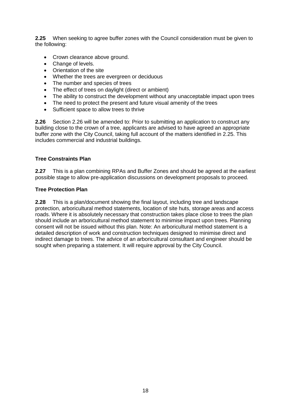**2.25** When seeking to agree buffer zones with the Council consideration must be given to the following:

- Crown clearance above ground.
- Change of levels.
- Orientation of the site
- Whether the trees are evergreen or deciduous
- The number and species of trees
- The effect of trees on daylight (direct or ambient)
- The ability to construct the development without any unacceptable impact upon trees
- The need to protect the present and future visual amenity of the trees
- Sufficient space to allow trees to thrive

**2.26** Section 2.26 will be amended to: Prior to submitting an application to construct any building close to the crown of a tree, applicants are advised to have agreed an appropriate buffer zone with the City Council, taking full account of the matters identified in 2.25. This includes commercial and industrial buildings.

## <span id="page-17-0"></span>**Tree Constraints Plan**

**2.27** This is a plan combining RPAs and Buffer Zones and should be agreed at the earliest possible stage to allow pre-application discussions on development proposals to proceed.

#### <span id="page-17-1"></span>**Tree Protection Plan**

**2.28** This is a plan/document showing the final layout, including tree and landscape protection, arboricultural method statements, location of site huts, storage areas and access roads. Where it is absolutely necessary that construction takes place close to trees the plan should include an arboricultural method statement to minimise impact upon trees. Planning consent will not be issued without this plan. Note: An arboricultural method statement is a detailed description of work and construction techniques designed to minimise direct and indirect damage to trees. The advice of an arboricultural consultant and engineer should be sought when preparing a statement. It will require approval by the City Council.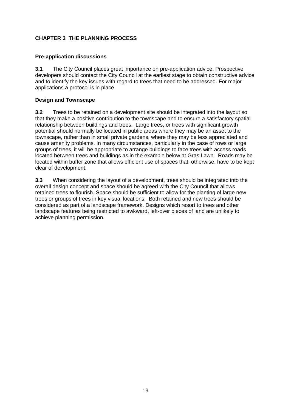# <span id="page-18-0"></span>**CHAPTER 3 THE PLANNING PROCESS**

## <span id="page-18-1"></span>**Pre-application discussions**

**3.1** The City Council places great importance on pre-application advice. Prospective developers should contact the City Council at the earliest stage to obtain constructive advice and to identify the key issues with regard to trees that need to be addressed. For major applications a protocol is in place.

## <span id="page-18-2"></span>**Design and Townscape**

**3.2** Trees to be retained on a development site should be integrated into the layout so that they make a positive contribution to the townscape and to ensure a satisfactory spatial relationship between buildings and trees. Large trees, or trees with significant growth potential should normally be located in public areas where they may be an asset to the townscape, rather than in small private gardens, where they may be less appreciated and cause amenity problems. In many circumstances, particularly in the case of rows or large groups of trees, it will be appropriate to arrange buildings to face trees with access roads located between trees and buildings as in the example below at Gras Lawn. Roads may be located within buffer zone that allows efficient use of spaces that, otherwise, have to be kept clear of development.

**3.3** When considering the layout of a development, trees should be integrated into the overall design concept and space should be agreed with the City Council that allows retained trees to flourish. Space should be sufficient to allow for the planting of large new trees or groups of trees in key visual locations. Both retained and new trees should be considered as part of a landscape framework. Designs which resort to trees and other landscape features being restricted to awkward, left-over pieces of land are unlikely to achieve planning permission.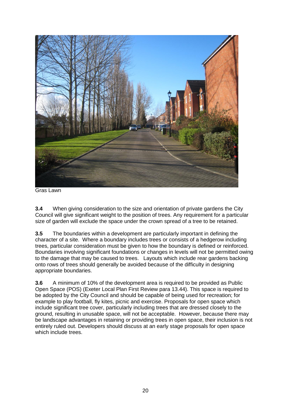

Gras Lawn

**3.4** When giving consideration to the size and orientation of private gardens the City Council will give significant weight to the position of trees. Any requirement for a particular size of garden will exclude the space under the crown spread of a tree to be retained.

**3.5** The boundaries within a development are particularly important in defining the character of a site. Where a boundary includes trees or consists of a hedgerow including trees, particular consideration must be given to how the boundary is defined or reinforced. Boundaries involving significant foundations or changes in levels will not be permitted owing to the damage that may be caused to trees. Layouts which include rear gardens backing onto rows of trees should generally be avoided because of the difficulty in designing appropriate boundaries.

**3.6** A minimum of 10% of the development area is required to be provided as Public Open Space (POS) (Exeter Local Plan First Review para 13.44). This space is required to be adopted by the City Council and should be capable of being used for recreation; for example to play football, fly kites, picnic and exercise. Proposals for open space which include significant tree cover, particularly including trees that are dressed closely to the ground, resulting in unusable space, will not be acceptable. However, because there may be landscape advantages in retaining or providing trees in open space, their inclusion is not entirely ruled out. Developers should discuss at an early stage proposals for open space which include trees.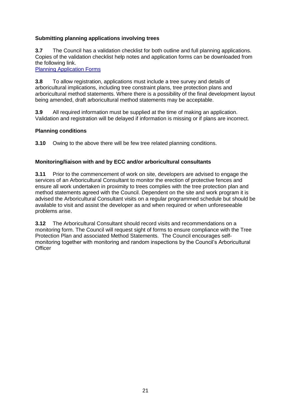# <span id="page-20-0"></span>**Submitting planning applications involving trees**

**3.7** The Council has a validation checklist for both outline and full planning applications. Copies of the validation checklist help notes and application forms can be downloaded from the following link.

[Planning Application Forms](http://www.exeter.gov.uk/lgnl/index.aspx?articleid=725&listid=9475)

**3.8** To allow registration, applications must include a tree survey and details of arboricultural implications, including tree constraint plans, tree protection plans and arboricultural method statements. Where there is a possibility of the final development layout being amended, draft arboricultural method statements may be acceptable.

**3.9** All required information must be supplied at the time of making an application. Validation and registration will be delayed if information is missing or if plans are incorrect.

#### <span id="page-20-1"></span>**Planning conditions**

**3.10** Owing to the above there will be few tree related planning conditions.

#### <span id="page-20-2"></span>**Monitoring/liaison with and by ECC and/or arboricultural consultants**

**3.11** Prior to the commencement of work on site, developers are advised to engage the services of an Arboricultural Consultant to monitor the erection of protective fences and ensure all work undertaken in proximity to trees complies with the tree protection plan and method statements agreed with the Council. Dependent on the site and work program it is advised the Arboricultural Consultant visits on a regular programmed schedule but should be available to visit and assist the developer as and when required or when unforeseeable problems arise.

**3.12** The Arboricultural Consultant should record visits and recommendations on a monitoring form. The Council will request sight of forms to ensure compliance with the Tree Protection Plan and associated Method Statements. The Council encourages selfmonitoring together with monitoring and random inspections by the Council's Arboricultural **Officer**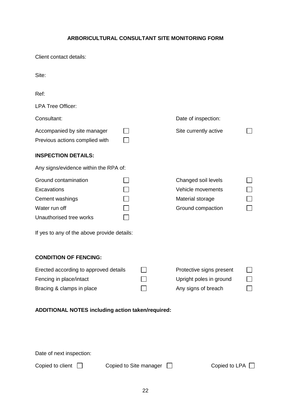# **ARBORICULTURAL CONSULTANT SITE MONITORING FORM**

<span id="page-21-0"></span>Client contact details:

| Site:                                                                                                                                             |  |  |                                                                                   |  |  |
|---------------------------------------------------------------------------------------------------------------------------------------------------|--|--|-----------------------------------------------------------------------------------|--|--|
| Ref:                                                                                                                                              |  |  |                                                                                   |  |  |
| <b>LPA Tree Officer:</b>                                                                                                                          |  |  |                                                                                   |  |  |
| Consultant:                                                                                                                                       |  |  | Date of inspection:                                                               |  |  |
| Accompanied by site manager<br>Previous actions complied with                                                                                     |  |  | Site currently active                                                             |  |  |
| <b>INSPECTION DETAILS:</b>                                                                                                                        |  |  |                                                                                   |  |  |
| Any signs/evidence within the RPA of:                                                                                                             |  |  |                                                                                   |  |  |
| Ground contamination<br>Excavations<br>Cement washings<br>Water run off<br>Unauthorised tree works<br>If yes to any of the above provide details: |  |  | Changed soil levels<br>Vehicle movements<br>Material storage<br>Ground compaction |  |  |
| <b>CONDITION OF FENCING:</b>                                                                                                                      |  |  |                                                                                   |  |  |
| Erected according to approved details<br>Fencing in place/intact<br>Bracing & clamps in place                                                     |  |  | Protective signs present<br>Upright poles in ground<br>Any signs of breach        |  |  |
| ADDITIONAL NOTES including action taken/required:                                                                                                 |  |  |                                                                                   |  |  |
|                                                                                                                                                   |  |  |                                                                                   |  |  |
|                                                                                                                                                   |  |  |                                                                                   |  |  |
| Date of next inspection:                                                                                                                          |  |  |                                                                                   |  |  |

Copied to client  $\Box$  Copied to Site manager  $\Box$  Copied to LPA  $\Box$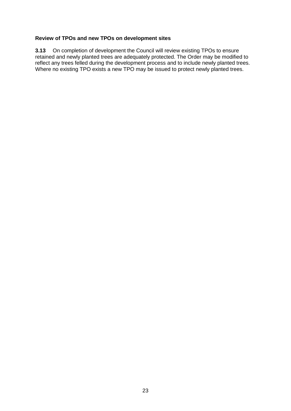#### <span id="page-22-0"></span>**Review of TPOs and new TPOs on development sites**

**3.13** On completion of development the Council will review existing TPOs to ensure retained and newly planted trees are adequately protected. The Order may be modified to reflect any trees felled during the development process and to include newly planted trees. Where no existing TPO exists a new TPO may be issued to protect newly planted trees.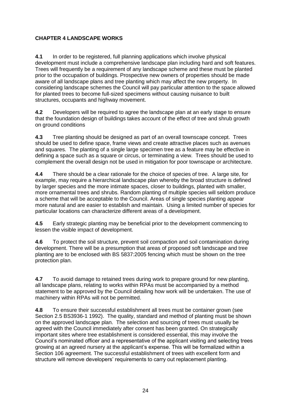# <span id="page-23-0"></span>**CHAPTER 4 LANDSCAPE WORKS**

**4.1** In order to be registered, full planning applications which involve physical development must include a comprehensive landscape plan including hard and soft features. Trees will frequently be a requirement of any landscape scheme and these must be planted prior to the occupation of buildings. Prospective new owners of properties should be made aware of all landscape plans and tree planting which may affect the new property. In considering landscape schemes the Council will pay particular attention to the space allowed for planted trees to become full-sized specimens without causing nuisance to built structures, occupants and highway movement.

**4.2** Developers will be required to agree the landscape plan at an early stage to ensure that the foundation design of buildings takes account of the effect of tree and shrub growth on ground conditions

**4.3** Tree planting should be designed as part of an overall townscape concept. Trees should be used to define space, frame views and create attractive places such as avenues and squares. The planting of a single large specimen tree as a feature may be effective in defining a space such as a square or circus, or terminating a view. Trees should be used to complement the overall design not be used in mitigation for poor townscape or architecture.

**4.4** There should be a clear rationale for the choice of species of tree. A large site, for example, may require a hierarchical landscape plan whereby the broad structure is defined by larger species and the more intimate spaces, closer to buildings, planted with smaller, more ornamental trees and shrubs. Random planting of multiple species will seldom produce a scheme that will be acceptable to the Council. Areas of single species planting appear more natural and are easier to establish and maintain. Using a limited number of species for particular locations can characterize different areas of a development.

**4.5** Early strategic planting may be beneficial prior to the development commencing to lessen the visible impact of development.

**4.6** To protect the soil structure, prevent soil compaction and soil contamination during development. There will be a presumption that areas of proposed soft landscape and tree planting are to be enclosed with BS 5837:2005 fencing which must be shown on the tree protection plan.

**4.7** To avoid damage to retained trees during work to prepare ground for new planting, all landscape plans, relating to works within RPAs must be accompanied by a method statement to be approved by the Council detailing how work will be undertaken. The use of machinery within RPAs will not be permitted.

**4.8** To ensure their successful establishment all trees must be container grown (see Section 2.5 BS3936-1 1992). The quality, standard and method of planting must be shown on the approved landscape plan. The selection and sourcing of trees must usually be agreed with the Council immediately after consent has been granted. On strategically important sites where tree establishment is considered essential, this may involve the Council's nominated officer and a representative of the applicant visiting and selecting trees growing at an agreed nursery at the applicant's expense. This will be formalized within a Section 106 agreement. The successful establishment of trees with excellent form and structure will remove developers' requirements to carry out replacement planting.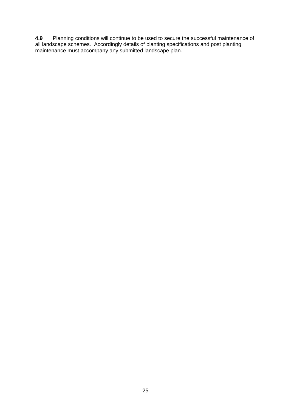**4.9** Planning conditions will continue to be used to secure the successful maintenance of all landscape schemes. Accordingly details of planting specifications and post planting maintenance must accompany any submitted landscape plan.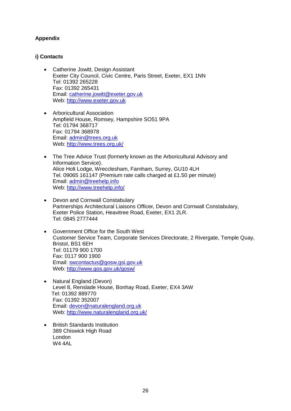# <span id="page-25-0"></span>**Appendix**

# <span id="page-25-1"></span>**i) Contacts**

- Catherine Jowitt, Design Assistant Exeter City Council, Civic Centre, Paris Street, Exeter, EX1 1NN Tel: 01392 265228 Fax: 01392 265431 Email: [catherine.jowitt@exeter.gov.uk](mailto:catherine.jowitt@exeter.gov.uk) Web: [http://www.exeter.gov.uk](http://www.exeter.gov.uk/)
- Arboricultural Association Ampfield House, Romsey, Hampshire SO51 9PA Tel: 01794 368717 Fax: 01794 368978 Email: [admin@trees.org.uk](mailto:admin@trees.org.uk) Web:<http://www.trees.org.uk/>
- The Tree Advice Trust (formerly known as the Arboricultural Advisory and Information Service). Alice Holt Lodge, Wrecclesham, Farnham, Surrey, GU10 4LH Tel. 09065 161147 (Premium rate calls charged at £1.50 per minute) Email: [admin@treehelp.info](mailto:admin@treehelp.info) Web:<http://www.treehelp.info/>
- Devon and Cornwall Constabulary Partnerships Architectural Liaisons Officer, Devon and Cornwall Constabulary, Exeter Police Station, Heavitree Road, Exeter, EX1 2LR. Tel: 0845 2777444
- Government Office for the South West Customer Service Team, Corporate Services Directorate, 2 Rivergate, Temple Quay, Bristol, BS1 6EH Tel: 01179 900 1700 Fax: 0117 900 1900 Email: [swcontactus@gosw.gsi.gov.uk](mailto:swcontactus@gosw.gsi.gov.uk) Web:<http://www.gos.gov.uk/gosw/>
- Natural England (Devon) Level 8, Renslade House, Bonhay Road, Exeter, EX4 3AW Tel: 01392 889770 Fax: 01392 352007 Email: [devon@naturalengland.org.uk](mailto:devon@naturalengland.org.uk) Web: [http://www.naturalengland.org.uk/](http://www.naturalengland.org.uk/regions/south_west/?regions=%2Fregions%2Fsouth_west%2Fhttp://www.naturalengland.org.uk/regions/south_west/?regions=%2Fregions%2Fsouth_west%2F)
- British Standards Institution 389 Chiswick High Road London **W4 4AL**